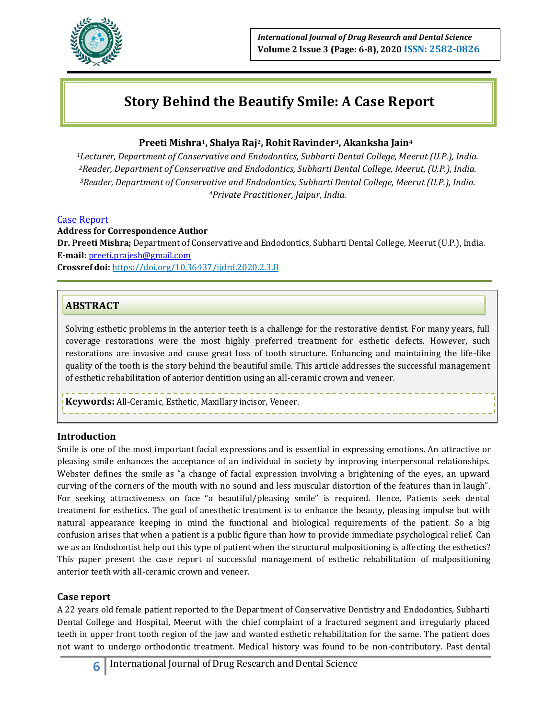

# **Story Behind the Beautify Smile: A Case Report**

# **Preeti Mishra1, Shalya Raj2, Rohit Ravinder3, Akanksha Jain<sup>4</sup>**

*Lecturer, Department of Conservative and Endodontics, Subharti Dental College, Meerut (U.P.), India. Reader, Department of Conservative and Endodontics, Subharti Dental College, Meerut, (U.P.), India. Reader, Department of Conservative and Endodontics, Subharti Dental College, Meerut (U.P.), India. Private Practitioner, Jaipur, India.*

#### Case Report

#### **Address for Correspondence Author**

**Dr. Preeti Mishra;** Department of Conservative and Endodontics, Subharti Dental College, Meerut (U.P.), India. **E‑mail:** [preeti.prajesh@gmail.com](mailto:preeti.prajesh@gmail.com)

**Crossref doi:** https://doi.org/10.36437/ijdrd.2020.2.3.B

# **ABSTRACT**

Solving esthetic problems in the anterior teeth is a challenge for the restorative dentist. For many years, full coverage restorations were the most highly preferred treatment for esthetic defects. However, such restorations are invasive and cause great loss of tooth structure. Enhancing and maintaining the life-like quality of the tooth is the story behind the beautiful smile. This article addresses the successful management of esthetic rehabilitation of anterior dentition using an all-ceramic crown and veneer.

**Keywords:** All-Ceramic, Esthetic, Maxillary incisor, Veneer.

#### **Introduction**

Smile is one of the most important facial expressions and is essential in expressing emotions. An attractive or pleasing smile enhances the acceptance of an individual in society by improving interpersonal relationships. Webster defines the smile as "a change of facial expression involving a brightening of the eyes, an upward curving of the corners of the mouth with no sound and less muscular distortion of the features than in laugh". For seeking attractiveness on face "a beautiful/pleasing smile" is required. Hence, Patients seek dental treatment for esthetics. The goal of anesthetic treatment is to enhance the beauty, pleasing impulse but with natural appearance keeping in mind the functional and biological requirements of the patient. So a big confusion arises that when a patient is a public figure than how to provide immediate psychological relief. Can we as an Endodontist help out this type of patient when the structural malpositioning is affecting the esthetics? This paper present the case report of successful management of esthetic rehabilitation of malpositioning anterior teeth with all-ceramic crown and veneer.

# **Case report**

A 22 years old female patient reported to the Department of Conservative Dentistry and Endodontics, Subharti Dental College and Hospital, Meerut with the chief complaint of a fractured segment and irregularly placed teeth in upper front tooth region of the jaw and wanted esthetic rehabilitation for the same. The patient does not want to undergo orthodontic treatment. Medical history was found to be non-contributory. Past dental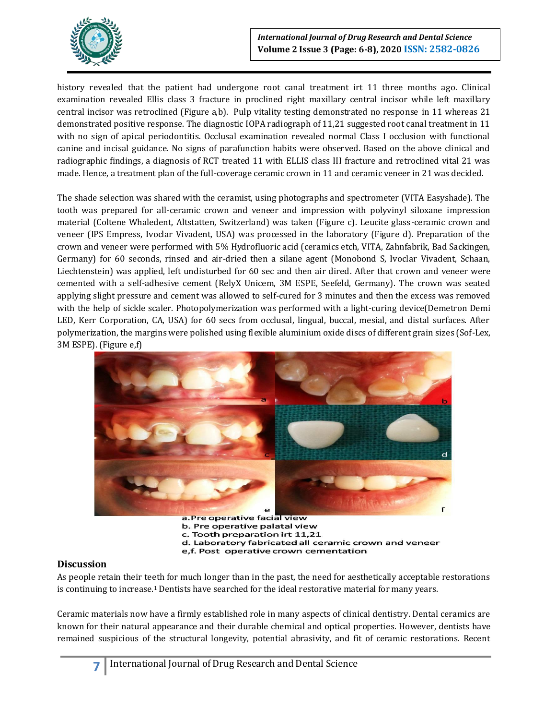

history revealed that the patient had undergone root canal treatment irt 11 three months ago. Clinical examination revealed Ellis class 3 fracture in proclined right maxillary central incisor while left maxillary central incisor was retroclined (Figure a,b). Pulp vitality testing demonstrated no response in 11 whereas 21 demonstrated positive response. The diagnostic IOPA radiograph of 11,21 suggested root canal treatment in 11 with no sign of apical periodontitis. Occlusal examination revealed normal Class I occlusion with functional canine and incisal guidance. No signs of parafunction habits were observed. Based on the above clinical and radiographic findings, a diagnosis of RCT treated 11 with ELLIS class III fracture and retroclined vital 21 was made. Hence, a treatment plan of the full-coverage ceramic crown in 11 and ceramic veneer in 21 was decided.

The shade selection was shared with the ceramist, using photographs and spectrometer (VITA Easyshade). The tooth was prepared for all-ceramic crown and veneer and impression with polyvinyl siloxane impression material (Coltene Whaledent, Altstatten, Switzerland) was taken (Figure c). Leucite glass-ceramic crown and veneer (IPS Empress, Ivoclar Vivadent, USA) was processed in the laboratory (Figure d). Preparation of the crown and veneer were performed with 5% Hydrofluoric acid (ceramics etch, VITA, Zahnfabrik, Bad Sackingen, Germany) for 60 seconds, rinsed and air-dried then a silane agent (Monobond S, Ivoclar Vivadent, Schaan, Liechtenstein) was applied, left undisturbed for 60 sec and then air dired. After that crown and veneer were cemented with a self-adhesive cement (RelyX Unicem, 3M ESPE, Seefeld, Germany). The crown was seated applying slight pressure and cement was allowed to self-cured for 3 minutes and then the excess was removed with the help of sickle scaler. Photopolymerization was performed with a light-curing device(Demetron Demi LED, Kerr Corporation, CA, USA) for 60 secs from occlusal, lingual, buccal, mesial, and distal surfaces. After polymerization, the margins were polished using flexible aluminium oxide discs of different grain sizes (Sof-Lex, 3M ESPE). (Figure e,f)



c. Tooth preparation irt 11,21 d. Laboratory fabricated all ceramic crown and veneer

#### e,f. Post operative crown cementation

# **Discussion**

As people retain their teeth for much longer than in the past, the need for aesthetically acceptable restorations is continuing to increase.<sup>1</sup> Dentists have searched for the ideal restorative material for many years.

Ceramic materials now have a firmly established role in many aspects of clinical dentistry. Dental ceramics are known for their natural appearance and their durable chemical and optical properties. However, dentists have remained suspicious of the structural longevity, potential abrasivity, and fit of ceramic restorations. Recent